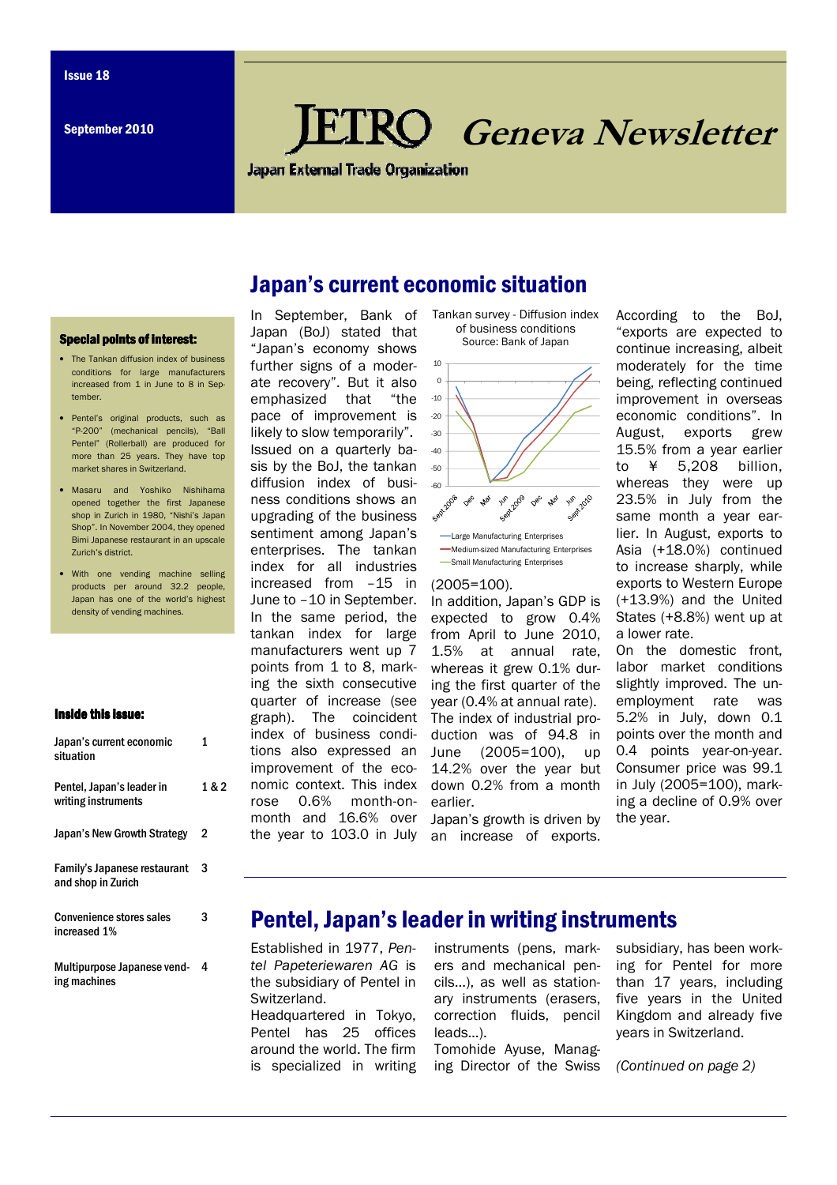# **RO** Geneva Newsletter

**Japan External Trade Organization** 

## Japan's current economic situation

#### Special points of interest:

- The Tankan diffusion index of business conditions for large manufacturers increased from 1 in June to 8 in September.
- Pentel's original products, such as "P-200" (mechanical pencils), "Ball Pentel" (Rollerball) are produced for more than 25 years. They have top market shares in Switzerland.
- Masaru and Yoshiko Nishihama opened together the first Japanese shop in Zurich in 1980, "Nishi's Japan Shop". In November 2004, they opened Bimi Japanese restaurant in an upscale Zurich's district.
- With one vending machine selling products per around 32.2 people, Japan has one of the world's highest density of vending machines.

#### Inside this issue:

| Japan's current economic<br>situation              | 1     |
|----------------------------------------------------|-------|
| Pentel, Japan's leader in<br>writing instruments   | 1 & 2 |
| Japan's New Growth Strategy                        | 2     |
| Family's Japanese restaurant<br>and shop in Zurich | 3     |
| <b>Convenience stores sales</b><br>increased 1%    | 3     |
| Multipurpose Japanese vend-                        | 4     |

ing machines

In September, Bank of Japan (BoJ) stated that "Japan's economy shows further signs of a moderate recovery". But it also emphasized that "the pace of improvement is likely to slow temporarily". Issued on a quarterly basis by the BoJ, the tankan diffusion index of business conditions shows an upgrading of the business sentiment among Japan's enterprises. The tankan index for all industries increased from –15 in June to –10 in September. In the same period, the tankan index for large manufacturers went up 7 points from 1 to 8, marking the sixth consecutive quarter of increase (see graph). The coincident index of business conditions also expressed an improvement of the economic context. This index rose 0.6% month-onmonth and 16.6% over the year to 103.0 in July an increase of exports.

Tankan survey - Diffusion index of business conditions Source: Bank of Japan



#### (2005=100).

In addition, Japan's GDP is expected to grow 0.4% from April to June 2010, 1.5% at annual rate, whereas it grew 0.1% during the first quarter of the year (0.4% at annual rate). The index of industrial production was of 94.8 in June (2005=100), up 14.2% over the year but down 0.2% from a month earlier.

Japan's growth is driven by

According to the BoJ, "exports are expected to continue increasing, albeit moderately for the time being, reflecting continued improvement in overseas economic conditions". In August, exports grew 15.5% from a year earlier to ¥ 5,208 billion, whereas they were up 23.5% in July from the same month a year earlier. In August, exports to Asia (+18.0%) continued to increase sharply, while exports to Western Europe (+13.9%) and the United States (+8.8%) went up at a lower rate.

On the domestic front, labor market conditions slightly improved. The unemployment rate was 5.2% in July, down 0.1 points over the month and 0.4 points year-on-year. Consumer price was 99.1 in July (2005=100), marking a decline of 0.9% over the year.

## Pentel, Japan's leader in writing instruments

Established in 1977, Pentel Papeteriewaren AG is the subsidiary of Pentel in Switzerland. Headquartered in Tokyo, Pentel has 25 offices around the world. The firm is specialized in writing

instruments (pens, markers and mechanical pencils...), as well as stationary instruments (erasers, correction fluids, pencil leads…).

Tomohide Ayuse, Managing Director of the Swiss subsidiary, has been working for Pentel for more than 17 years, including five years in the United Kingdom and already five years in Switzerland.

(Continued on page 2)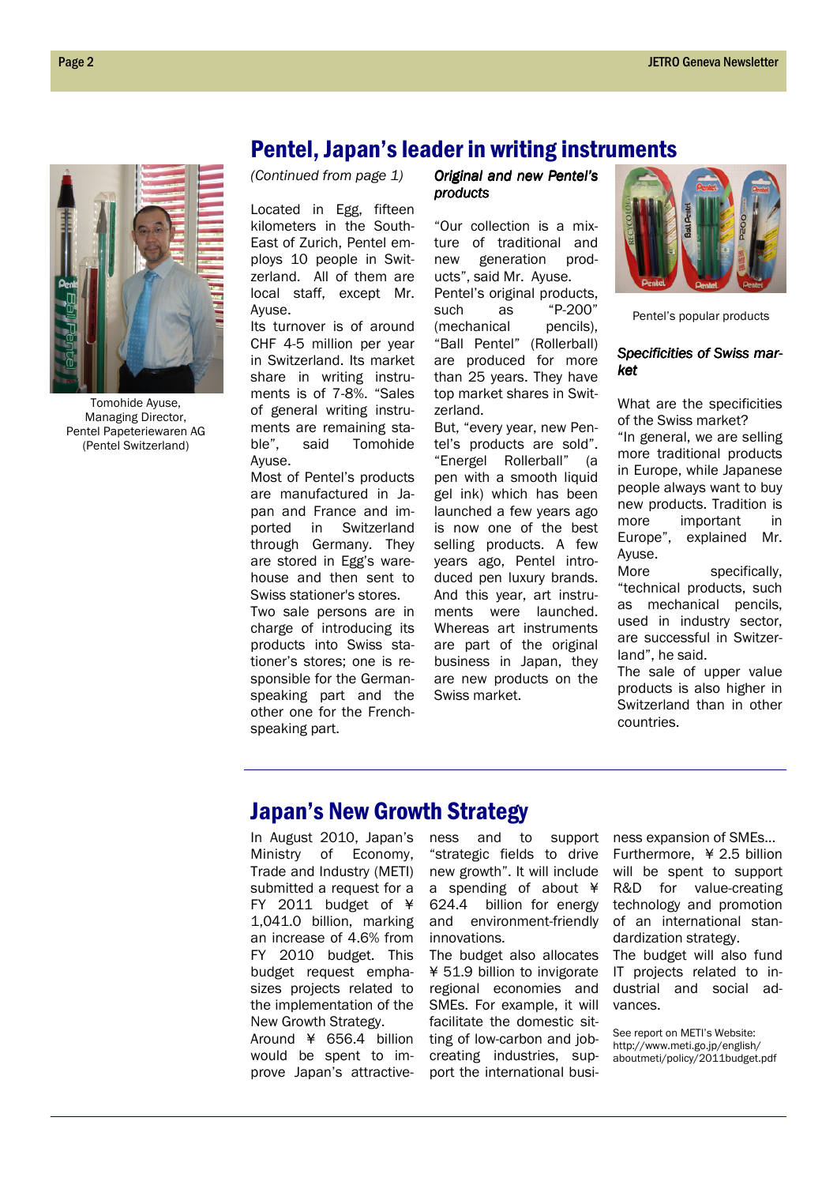

Tomohide Ayuse, Managing Director, Pentel Papeteriewaren AG (Pentel Switzerland)

## Pentel, Japan's leader in writing instruments

(Continued from page 1)

Located in Egg, fifteen kilometers in the South-East of Zurich, Pentel employs 10 people in Switzerland. All of them are local staff, except Mr. Ayuse.

Its turnover is of around CHF 4-5 million per year in Switzerland. Its market share in writing instruments is of 7-8%. "Sales of general writing instruments are remaining stable", said Tomohide Ayuse.

Most of Pentel's products are manufactured in Japan and France and imported in Switzerland through Germany. They are stored in Egg's warehouse and then sent to Swiss stationer's stores.

Two sale persons are in charge of introducing its products into Swiss stationer's stores; one is responsible for the Germanspeaking part and the other one for the Frenchspeaking part.

Original and new Pentel's products products

"Our collection is a mixture of traditional and new generation products", said Mr. Ayuse. Pentel's original products, such as "P-200" (mechanical pencils). "Ball Pentel" (Rollerball) are produced for more than 25 years. They have top market shares in Switzerland.

But, "every year, new Pentel's products are sold". "Energel Rollerball" (a pen with a smooth liquid gel ink) which has been launched a few years ago is now one of the best selling products. A few years ago, Pentel introduced pen luxury brands. And this year, art instruments were launched. Whereas art instruments are part of the original business in Japan, they are new products on the Swiss market.



Pentel's popular products

## Specificities of Swiss market

What are the specificities of the Swiss market?

"In general, we are selling more traditional products in Europe, while Japanese people always want to buy new products. Tradition is more important in Europe", explained Mr. Ayuse.

More specifically, "technical products, such as mechanical pencils, used in industry sector, are successful in Switzerland", he said.

The sale of upper value products is also higher in Switzerland than in other countries.

## Japan's New Growth Strategy

In August 2010, Japan's<br>Ministry of Economy, of Economy, Trade and Industry (METI) submitted a request for a FY 2011 budget of ¥ 1,041.0 billion, marking an increase of 4.6% from FY 2010 budget. This budget request emphasizes projects related to the implementation of the New Growth Strategy. Around ¥ 656.4 billion would be spent to im-

prove Japan's attractive-

ness and to support "strategic fields to drive new growth". It will include a spending of about ¥ 624.4 billion for energy and environment-friendly innovations.

The budget also allocates ¥ 51.9 billion to invigorate regional economies and SMEs. For example, it will facilitate the domestic sitting of low-carbon and jobcreating industries, support the international business expansion of SMEs… Furthermore, ¥ 2.5 billion will be spent to support R&D for value-creating technology and promotion of an international standardization strategy. The budget will also fund IT projects related to industrial and social advances.

See report on METI's Website: http://www.meti.go.jp/english/ aboutmeti/policy/2011budget.pdf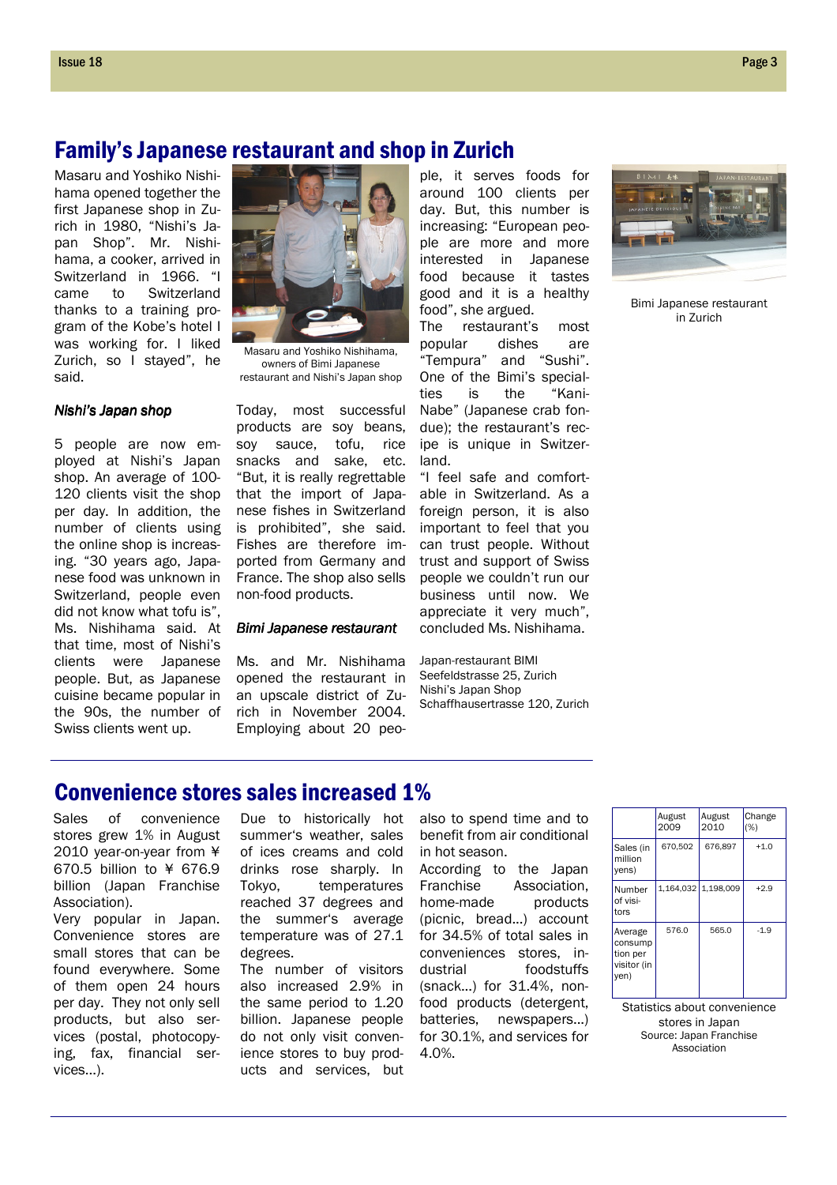## Family's Japanese restaurant and shop in Zurich

Masaru and Yoshiko Nishihama opened together the first Japanese shop in Zurich in 1980, "Nishi's Japan Shop". Mr. Nishihama, a cooker, arrived in Switzerland in 1966. "I came to Switzerland thanks to a training program of the Kobe's hotel I was working for. I liked Zurich, so I stayed", he said.

## Nishi's Japan shop

5 people are now employed at Nishi's Japan shop. An average of 100- 120 clients visit the shop per day. In addition, the number of clients using the online shop is increasing. "30 years ago, Japanese food was unknown in Switzerland, people even did not know what tofu is", Ms. Nishihama said. At that time, most of Nishi's clients were Japanese people. But, as Japanese cuisine became popular in the 90s, the number of Swiss clients went up.



Masaru and Yoshiko Nishihama, owners of Bimi Japanese restaurant and Nishi's Japan shop

Today, most successful products are soy beans, soy sauce, tofu, rice snacks and sake, etc. "But, it is really regrettable that the import of Japanese fishes in Switzerland is prohibited", she said. Fishes are therefore imported from Germany and France. The shop also sells non-food products.

#### Bimi Japanese restaurant

Ms. and Mr. Nishihama opened the restaurant in an upscale district of Zurich in November 2004. Employing about 20 peo-

ple, it serves foods for around 100 clients per day. But, this number is increasing: "European people are more and more interested in Japanese food because it tastes good and it is a healthy food", she argued.

The restaurant's most popular dishes are "Tempura" and "Sushi". One of the Bimi's specialties is the "Kani-Nabe" (Japanese crab fondue); the restaurant's recipe is unique in Switzerland.

"I feel safe and comfortable in Switzerland. As a foreign person, it is also important to feel that you can trust people. Without trust and support of Swiss people we couldn't run our business until now. We appreciate it very much", concluded Ms. Nishihama.

Japan-restaurant BIMI Seefeldstrasse 25, Zurich Nishi's Japan Shop Schaffhausertrasse 120, Zurich



Bimi Japanese restaurant in Zurich

# Convenience stores sales increased 1%

Sales of convenience stores grew 1% in August 2010 year-on-year from ¥ 670.5 billion to ¥ 676.9 billion (Japan Franchise Association).

Very popular in Japan. Convenience stores are small stores that can be found everywhere. Some of them open 24 hours per day. They not only sell products, but also services (postal, photocopying, fax, financial services...).

Due to historically hot summer's weather, sales of ices creams and cold drinks rose sharply. In Tokyo, temperatures reached 37 degrees and the summer's average temperature was of 27.1 degrees.

The number of visitors also increased 2.9% in the same period to 1.20 billion. Japanese people do not only visit convenience stores to buy products and services, but

also to spend time and to benefit from air conditional in hot season.

According to the Japan Franchise Association, home-made products (picnic, bread...) account for 34.5% of total sales in conveniences stores, industrial foodstuffs (snack...) for 31.4%, nonfood products (detergent, batteries, newspapers...) for 30.1%, and services for 4.0%.

|                                                       | August<br>2009 | August<br>2010      | Change<br>(%) |
|-------------------------------------------------------|----------------|---------------------|---------------|
| Sales (in<br>million<br>yens)                         | 670.502        | 676.897             | $+1.0$        |
| Number<br>of visi-<br>tors                            |                | 1,164,032 1,198,009 | $+2.9$        |
| Average<br>consump<br>tion per<br>visitor (in<br>yen) | 576.0          | 565.0               | $-1.9$        |

Statistics about convenience stores in Japan Source: Japan Franchise Association